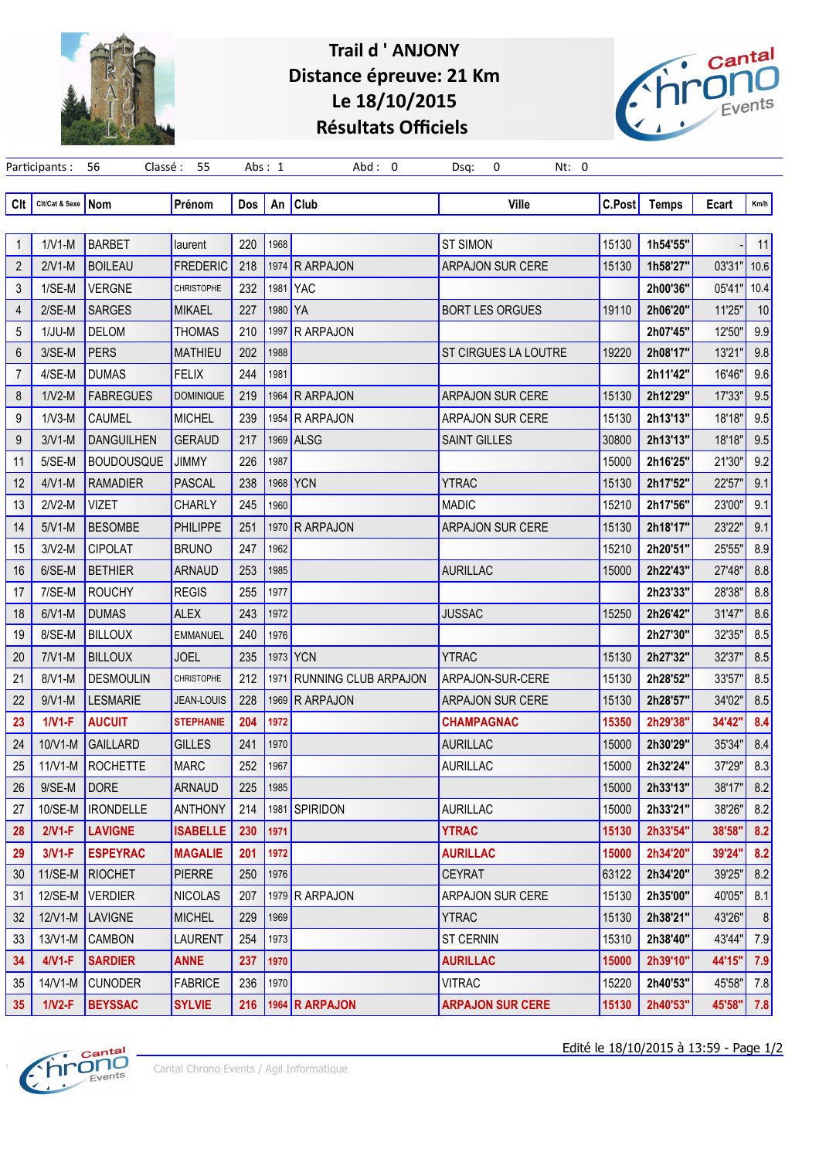

## **Trail d ' ANJONY Distance épreuve: 21 Km Le 18/10/2015 Résultats Officiels**

Participants : 56 Classé : 55 Abs : 1 Abd : 0 Dsq: 0 Nt: 0



| Clt            | Clt/Cat & Sexe | Nom                 | Prénom            | Dos | An      | <b>Club</b>                 | <b>Ville</b>                | C.Post | <b>Temps</b> | Ecart  | Km/h |
|----------------|----------------|---------------------|-------------------|-----|---------|-----------------------------|-----------------------------|--------|--------------|--------|------|
|                |                |                     |                   |     |         |                             |                             |        |              |        |      |
| $\mathbf{1}$   | $1/V1-M$       | <b>BARBET</b>       | laurent           | 220 | 1968    |                             | <b>ST SIMON</b>             | 15130  | 1h54'55"     |        | 11   |
| 2              | $2/V1-M$       | <b>BOILEAU</b>      | <b>FREDERIC</b>   | 218 |         | 1974 R ARPAJON              | <b>ARPAJON SUR CERE</b>     | 15130  | 1h58'27"     | 03'31" | 10.6 |
| 3              | 1/SE-M         | <b>VERGNE</b>       | <b>CHRISTOPHE</b> | 232 | 1981    | <b>YAC</b>                  |                             |        | 2h00'36"     | 05'41" | 10.4 |
| 4              | $2/SE-M$       | <b>SARGES</b>       | <b>MIKAEL</b>     | 227 | 1980 YA |                             | <b>BORT LES ORGUES</b>      | 19110  | 2h06'20"     | 11'25" | 10   |
| 5              | $1/JU-M$       | <b>DELOM</b>        | <b>THOMAS</b>     | 210 | 1997    | <b>R ARPAJON</b>            |                             |        | 2h07'45"     | 12'50" | 9.9  |
| 6              | 3/SE-M         | <b>PERS</b>         | <b>MATHIEU</b>    | 202 | 1988    |                             | <b>ST CIRGUES LA LOUTRE</b> | 19220  | 2h08'17"     | 13'21" | 9.8  |
| $\overline{7}$ | 4/SE-M         | <b>DUMAS</b>        | <b>FELIX</b>      | 244 | 1981    |                             |                             |        | 2h11'42"     | 16'46" | 9.6  |
| 8              | $1/N2-M$       | <b>FABREGUES</b>    | <b>DOMINIQUE</b>  | 219 |         | 1964 R ARPAJON              | <b>ARPAJON SUR CERE</b>     | 15130  | 2h12'29"     | 17'33" | 9.5  |
| 9              | $1/N3-M$       | CAUMEL              | <b>MICHEL</b>     | 239 |         | 1954 R ARPAJON              | <b>ARPAJON SUR CERE</b>     | 15130  | 2h13'13"     | 18'18" | 9.5  |
| 9              | $3/V1-M$       | <b>DANGUILHEN</b>   | <b>GERAUD</b>     | 217 |         | 1969 ALSG                   | <b>SAINT GILLES</b>         | 30800  | 2h13'13"     | 18'18" | 9.5  |
| 11             | 5/SE-M         | <b>BOUDOUSQUE</b>   | <b>JIMMY</b>      | 226 | 1987    |                             |                             | 15000  | 2h16'25"     | 21'30" | 9.2  |
| 12             | $4/N1-M$       | <b>RAMADIER</b>     | <b>PASCAL</b>     | 238 | 1968    | <b>YCN</b>                  | <b>YTRAC</b>                | 15130  | 2h17'52"     | 22'57" | 9.1  |
| 13             | $2/N2-M$       | <b>VIZET</b>        | <b>CHARLY</b>     | 245 | 1960    |                             | <b>MADIC</b>                | 15210  | 2h17'56"     | 23'00" | 9.1  |
| 14             | $5/N1-M$       | <b>BESOMBE</b>      | <b>PHILIPPE</b>   | 251 |         | 1970 R ARPAJON              | <b>ARPAJON SUR CERE</b>     | 15130  | 2h18'17"     | 23'22" | 9.1  |
| 15             | $3/V2-M$       | <b>CIPOLAT</b>      | <b>BRUNO</b>      | 247 | 1962    |                             |                             | 15210  | 2h20'51"     | 25'55" | 8.9  |
| 16             | $6/SE-M$       | <b>BETHIER</b>      | <b>ARNAUD</b>     | 253 | 1985    |                             | <b>AURILLAC</b>             | 15000  | 2h22'43"     | 27'48" | 8.8  |
| 17             | 7/SE-M         | <b>ROUCHY</b>       | <b>REGIS</b>      | 255 | 1977    |                             |                             |        | 2h23'33"     | 28'38" | 8.8  |
| 18             | $6/N1-M$       | <b>DUMAS</b>        | <b>ALEX</b>       | 243 | 1972    |                             | <b>JUSSAC</b>               | 15250  | 2h26'42"     | 31'47" | 8.6  |
| 19             | 8/SE-M         | <b>BILLOUX</b>      | <b>EMMANUEL</b>   | 240 | 1976    |                             |                             |        | 2h27'30"     | 32'35" | 8.5  |
| 20             | $7/N1-M$       | <b>BILLOUX</b>      | <b>JOEL</b>       | 235 |         | 1973 YCN                    | <b>YTRAC</b>                | 15130  | 2h27'32"     | 32'37" | 8.5  |
| 21             | $8/N1-M$       | <b>DESMOULIN</b>    | <b>CHRISTOPHE</b> | 212 | 1971    | <b>RUNNING CLUB ARPAJON</b> | ARPAJON-SUR-CERE            | 15130  | 2h28'52"     | 33'57" | 8.5  |
| 22             | $9/V1-M$       | <b>LESMARIE</b>     | <b>JEAN-LOUIS</b> | 228 |         | 1969 R ARPAJON              | ARPAJON SUR CERE            | 15130  | 2h28'57"     | 34'02" | 8.5  |
| 23             | $1/N1-F$       | <b>AUCUIT</b>       | <b>STEPHANIE</b>  | 204 | 1972    |                             | <b>CHAMPAGNAC</b>           | 15350  | 2h29'38"     | 34'42" | 8.4  |
| 24             | 10/V1-M        | <b>GAILLARD</b>     | <b>GILLES</b>     | 241 | 1970    |                             | <b>AURILLAC</b>             | 15000  | 2h30'29"     | 35'34" | 8.4  |
| 25             | $11/V1-M$      | <b>ROCHETTE</b>     | <b>MARC</b>       | 252 | 1967    |                             | <b>AURILLAC</b>             | 15000  | 2h32'24"     | 37'29" | 8.3  |
| 26             | 9/SE-M         | <b>DORE</b>         | <b>ARNAUD</b>     | 225 | 1985    |                             |                             | 15000  | 2h33'13"     | 38'17" | 8.2  |
| 27             |                | 10/SE-M   IRONDELLE | ANTHONY           | 214 |         | 1981 SPIRIDON               | <b>AURILLAC</b>             | 15000  | 2h33'21"     | 38'26" | 8.2  |
| 28             | $2/N1-F$       | LAVIGNE             | <b>ISABELLE</b>   | 230 | 1971    |                             | <b>YTRAC</b>                | 15130  | 2h33'54"     | 38'58" | 8.2  |
| 29             | $3/N1-F$       | <b>ESPEYRAC</b>     | <b>MAGALIE</b>    | 201 | 1972    |                             | <b>AURILLAC</b>             | 15000  | 2h34'20"     | 39'24" | 8.2  |
| 30             | 11/SE-M        | RIOCHET             | <b>PIERRE</b>     | 250 | 1976    |                             | <b>CEYRAT</b>               | 63122  | 2h34'20"     | 39'25" | 8.2  |
| 31             | 12/SE-M        | VERDIER             | <b>NICOLAS</b>    | 207 |         | 1979 R ARPAJON              | ARPAJON SUR CERE            | 15130  | 2h35'00"     | 40'05" | 8.1  |
| 32             | $12/V1-M$      | LAVIGNE             | <b>MICHEL</b>     | 229 | 1969    |                             | <b>YTRAC</b>                | 15130  | 2h38'21"     | 43'26" |      |
| 33             | 13/V1-M        | <b>CAMBON</b>       | <b>LAURENT</b>    | 254 | 1973    |                             | <b>ST CERNIN</b>            | 15310  | 2h38'40"     | 43'44" | 7.9  |
| 34             | $4/N1-F$       | <b>SARDIER</b>      | <b>ANNE</b>       | 237 | 1970    |                             | <b>AURILLAC</b>             | 15000  | 2h39'10"     | 44'15" | 7.9  |
| 35             | 14/V1-M        | <b>CUNODER</b>      | <b>FABRICE</b>    | 236 | 1970    |                             | <b>VITRAC</b>               | 15220  | 2h40'53"     | 45'58" | 7.8  |
| 35             | $1/N2-F$       | <b>BEYSSAC</b>      | <b>SYLVIE</b>     |     |         | 216 3964 R ARPAJON          | <b>ARPAJON SUR CERE</b>     | 15130  | 2h40'53"     | 45'58" | 7.8  |



Edité le 18/10/2015 à 13:59 - Page 1/2